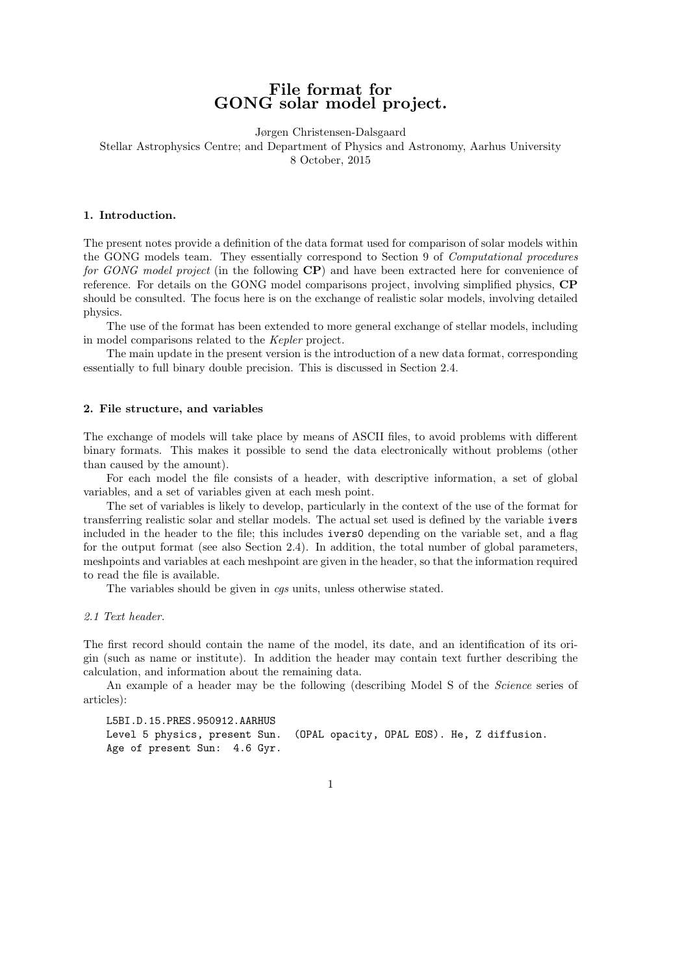# File format for GONG solar model project.

Jørgen Christensen-Dalsgaard Stellar Astrophysics Centre; and Department of Physics and Astronomy, Aarhus University 8 October, 2015

### 1. Introduction.

The present notes provide a definition of the data format used for comparison of solar models within the GONG models team. They essentially correspond to Section 9 of Computational procedures for GONG model project (in the following  $\mathbf{CP}$ ) and have been extracted here for convenience of reference. For details on the GONG model comparisons project, involving simplified physics, CP should be consulted. The focus here is on the exchange of realistic solar models, involving detailed physics.

The use of the format has been extended to more general exchange of stellar models, including in model comparisons related to the Kepler project.

The main update in the present version is the introduction of a new data format, corresponding essentially to full binary double precision. This is discussed in Section 2.4.

#### 2. File structure, and variables

The exchange of models will take place by means of ASCII files, to avoid problems with different binary formats. This makes it possible to send the data electronically without problems (other than caused by the amount).

For each model the file consists of a header, with descriptive information, a set of global variables, and a set of variables given at each mesh point.

The set of variables is likely to develop, particularly in the context of the use of the format for transferring realistic solar and stellar models. The actual set used is defined by the variable ivers included in the header to the file; this includes ivers0 depending on the variable set, and a flag for the output format (see also Section 2.4). In addition, the total number of global parameters, meshpoints and variables at each meshpoint are given in the header, so that the information required to read the file is available.

The variables should be given in *cgs* units, unless otherwise stated.

#### 2.1 Text header.

The first record should contain the name of the model, its date, and an identification of its origin (such as name or institute). In addition the header may contain text further describing the calculation, and information about the remaining data.

An example of a header may be the following (describing Model S of the Science series of articles):

L5BI.D.15.PRES.950912.AARHUS Level 5 physics, present Sun. (OPAL opacity, OPAL EOS). He, Z diffusion. Age of present Sun: 4.6 Gyr.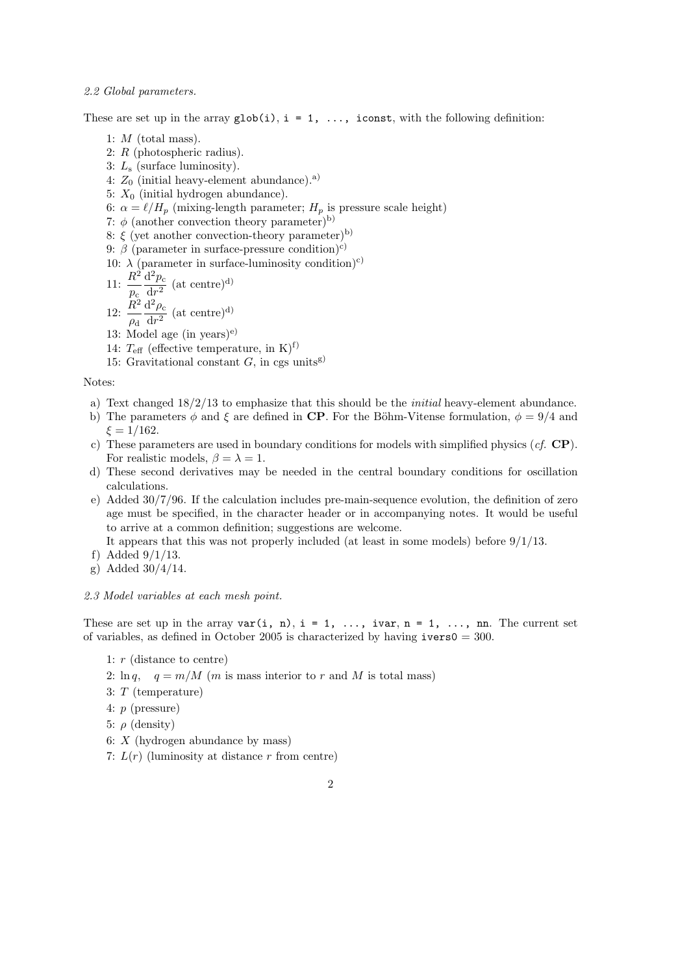#### 2.2 Global parameters.

These are set up in the array  $\text{glob}(i)$ ,  $i = 1, \ldots$ , iconst, with the following definition:

- 1:  $M$  (total mass).
- 2: R (photospheric radius).
- 3:  $L_s$  (surface luminosity).
- 4:  $Z_0$  (initial heavy-element abundance).<sup>a)</sup>
- 5:  $X_0$  (initial hydrogen abundance).
- 6:  $\alpha = \ell/H_p$  (mixing-length parameter;  $H_p$  is pressure scale height)
- 7:  $\phi$  (another convection theory parameter)<sup>b)</sup>
- 8:  $\xi$  (yet another convection-theory parameter)<sup>b)</sup>
- 9:  $\beta$  (parameter in surface-pressure condition)<sup>c)</sup>
- 10:  $\lambda$  (parameter in surface-luminosity condition)<sup>c)</sup>
- 11:  $\frac{R^2}{4}$  $p_{\rm c}$  $\mathrm{d}^2p_{\text{c}}$  $\frac{1}{\mathrm{d}r^2}$  (at centre)<sup>d)</sup>  $\mathrm{d}^2\rho_{\rm c}$
- 12:  $\frac{R^2}{4}$  $\rho_{\rm d}$  $\frac{1 \mu_c}{dr^2}$  (at centre)<sup>d)</sup> 13: Model age (in years)<sup>e)</sup>
- 14:  $T_{\text{eff}}$  (effective temperature, in K)<sup>f)</sup>
- 15: Gravitational constant  $G$ , in cgs units<sup>g)</sup>

Notes:

- a) Text changed  $18/2/13$  to emphasize that this should be the *initial* heavy-element abundance.
- b) The parameters  $\phi$  and  $\xi$  are defined in CP. For the Böhm-Vitense formulation,  $\phi = 9/4$  and  $\xi = 1/162$ .
- c) These parameters are used in boundary conditions for models with simplified physics  $(cf, \mathbf{CP})$ . For realistic models,  $\beta = \lambda = 1$ .
- d) These second derivatives may be needed in the central boundary conditions for oscillation calculations.
- e) Added 30/7/96. If the calculation includes pre-main-sequence evolution, the definition of zero age must be specified, in the character header or in accompanying notes. It would be useful to arrive at a common definition; suggestions are welcome.

It appears that this was not properly included (at least in some models) before 9/1/13.

- f) Added 9/1/13.
- g) Added 30/4/14.

#### 2.3 Model variables at each mesh point.

These are set up in the array  $var(i, n)$ ,  $i = 1, \ldots$ , ivar,  $n = 1, \ldots$ , nn. The current set of variables, as defined in October 2005 is characterized by having  $i$ vers $0 = 300$ .

- 1:  $r$  (distance to centre)
- 2:  $\ln q$ ,  $q = m/M$  (*m* is mass interior to *r* and *M* is total mass)
- 3: T (temperature)
- 4: p (pressure)
- 5:  $\rho$  (density)
- 6:  $X$  (hydrogen abundance by mass)
- 7:  $L(r)$  (luminosity at distance r from centre)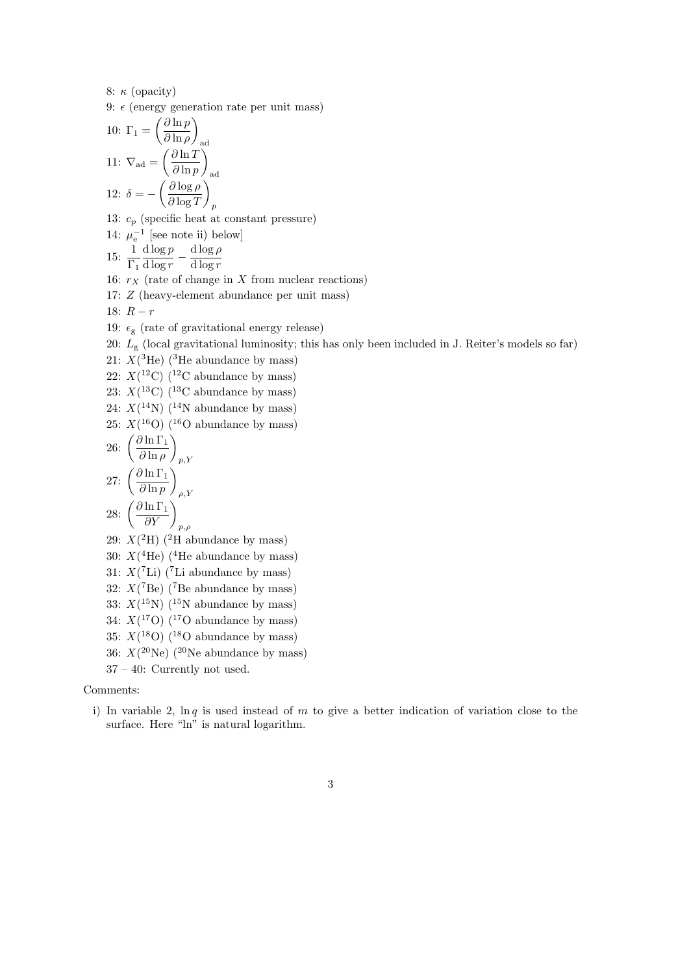8:  $\kappa$  (opacity)

9:  $\epsilon$  (energy generation rate per unit mass)

10: 
$$
\Gamma_1 = \left(\frac{\partial \ln p}{\partial \ln \rho}\right)_{\text{ad}}
$$
  
11:  $\nabla_{\text{ad}} = \left(\frac{\partial \ln T}{\partial \ln p}\right)_{\text{ad}}$   
12:  $\delta = -\left(\frac{\partial \log \rho}{\partial \log T}\right)_p$ 

13:  $c_p$  (specific heat at constant pressure)

14:  $\mu_{\rm e}^{-1}$  [see note ii) below]

 $15: \frac{1}{5}$  $\Gamma_1$  $d \log p$  $\frac{\mathrm{d} \log p}{\mathrm{d} \log r} - \frac{\mathrm{d} \log \rho}{\mathrm{d} \log r}$ d log r

16:  $r_X$  (rate of change in X from nuclear reactions)

17: Z (heavy-element abundance per unit mass)

18:  $R - r$ 

- 19:  $\epsilon_{\rm g}$  (rate of gravitational energy release)
- 20:  $L_g$  (local gravitational luminosity; this has only been included in J. Reiter's models so far)
- 21:  $X(^{3}He)$  (<sup>3</sup>He abundance by mass)

22:  $X(^{12}C)$  (<sup>12</sup>C abundance by mass)

23:  $X(^{13}C)$  (<sup>13</sup>C abundance by mass)

24:  $X(^{14}N)$  (<sup>14</sup>N abundance by mass)

25:  $X(^{16}O)$  (<sup>16</sup>O abundance by mass)

26: 
$$
\left(\frac{\partial \ln \Gamma_1}{\partial \ln \rho}\right)_{p,Y}
$$
  
27: 
$$
\left(\frac{\partial \ln \Gamma_1}{\partial \ln p}\right)_{\rho,Y}
$$
  
28: 
$$
\left(\frac{\partial \ln \Gamma_1}{\partial Y}\right)_{p,\rho}
$$

29:  $X(^{2}H)$  (<sup>2</sup>H abundance by mass)

- 30:  $X(^{4}\text{He})$  (<sup>4</sup>He abundance by mass)
- 31:  $X(^{7}$ Li) (<sup>7</sup>Li abundance by mass)
- 32:  $X({}^7Be)$  ( ${}^7Be$  abundance by mass)

33:  $X(^{15}N)$  (<sup>15</sup>N abundance by mass)

- 34:  $X(^{17}O)$  (<sup>17</sup>O abundance by mass)
- 35:  $X(^{18}O)$  (<sup>18</sup>O abundance by mass)
- 36:  $X(^{20}\text{Ne})$  (<sup>20</sup>Ne abundance by mass)
- 37 40: Currently not used.

#### Comments:

- i) In variable 2,  $\ln q$  is used instead of m to give a better indication of variation close to the surface. Here "ln" is natural logarithm.
	- 3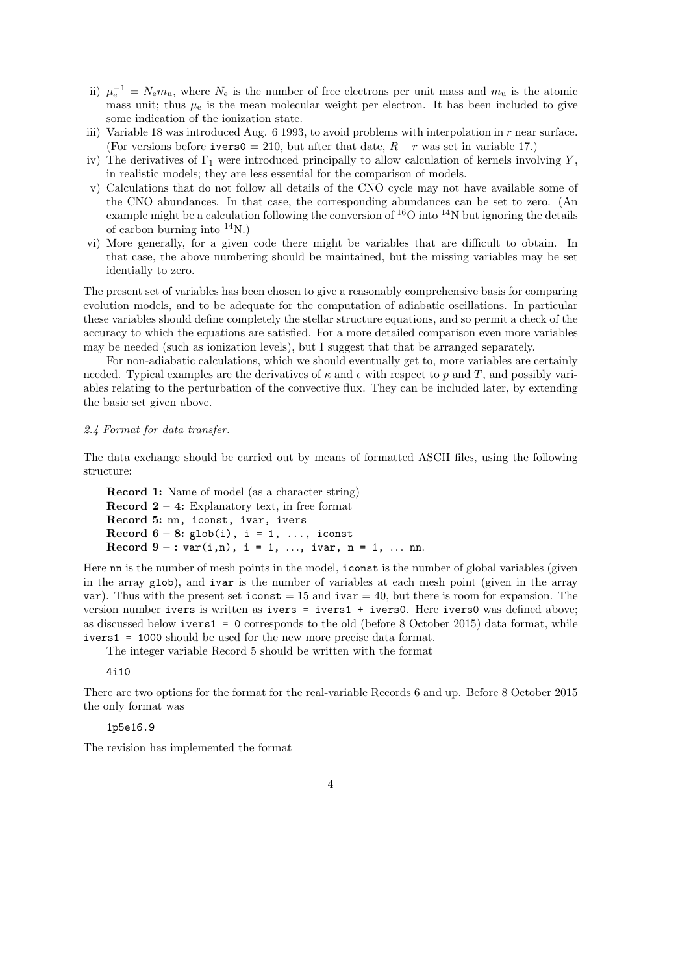- ii)  $\mu_{\rm e}^{-1} = N_{\rm e} m_{\rm u}$ , where  $N_{\rm e}$  is the number of free electrons per unit mass and  $m_{\rm u}$  is the atomic mass unit; thus  $\mu_e$  is the mean molecular weight per electron. It has been included to give some indication of the ionization state.
- iii) Variable 18 was introduced Aug.  $6$  1993, to avoid problems with interpolation in  $r$  near surface. (For versions before ivers0 = 210, but after that date,  $R - r$  was set in variable 17.)
- iv) The derivatives of  $\Gamma_1$  were introduced principally to allow calculation of kernels involving Y, in realistic models; they are less essential for the comparison of models.
- v) Calculations that do not follow all details of the CNO cycle may not have available some of the CNO abundances. In that case, the corresponding abundances can be set to zero. (An example might be a calculation following the conversion of  ${}^{16}O$  into  ${}^{14}N$  but ignoring the details of carbon burning into  $^{14}$ N.)
- vi) More generally, for a given code there might be variables that are difficult to obtain. In that case, the above numbering should be maintained, but the missing variables may be set identially to zero.

The present set of variables has been chosen to give a reasonably comprehensive basis for comparing evolution models, and to be adequate for the computation of adiabatic oscillations. In particular these variables should define completely the stellar structure equations, and so permit a check of the accuracy to which the equations are satisfied. For a more detailed comparison even more variables may be needed (such as ionization levels), but I suggest that that be arranged separately.

For non-adiabatic calculations, which we should eventually get to, more variables are certainly needed. Typical examples are the derivatives of  $\kappa$  and  $\epsilon$  with respect to p and T, and possibly variables relating to the perturbation of the convective flux. They can be included later, by extending the basic set given above.

#### 2.4 Format for data transfer.

The data exchange should be carried out by means of formatted ASCII files, using the following structure:

Record 1: Name of model (as a character string) **Record 2** – 4: Explanatory text, in free format Record 5: nn, iconst, ivar, ivers Record  $6 - 8$ : glob(i), i = 1, ..., iconst Record  $9 - : var(i, n), i = 1, ..., ivar, n = 1, ...$  nn.

Here nn is the number of mesh points in the model, iconst is the number of global variables (given in the array glob), and ivar is the number of variables at each mesh point (given in the array var). Thus with the present set  $\text{iconst} = 15$  and  $\text{ivar} = 40$ , but there is room for expansion. The version number ivers is written as ivers = ivers1 + ivers0. Here ivers0 was defined above; as discussed below ivers1 = 0 corresponds to the old (before 8 October 2015) data format, while ivers1 = 1000 should be used for the new more precise data format.

The integer variable Record 5 should be written with the format

4i10

There are two options for the format for the real-variable Records 6 and up. Before 8 October 2015 the only format was

1p5e16.9

The revision has implemented the format